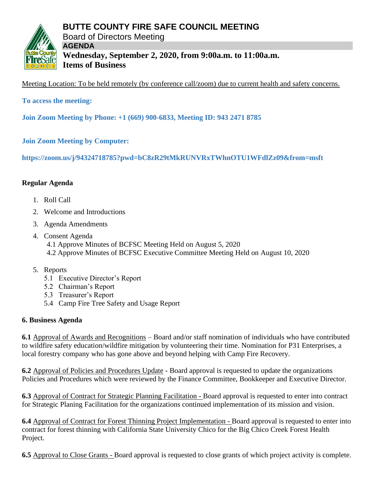



**AGENDA Wednesday, September 2, 2020, from 9:00a.m. to 11:00a.m. Items of Business**

Meeting Location: To be held remotely (by conference call/zoom) due to current health and safety concerns.

**To access the meeting:**

**Join Zoom Meeting by Phone: +1 (669) 900-6833, Meeting ID: 943 2471 8785**

**Join Zoom Meeting by Computer:**

**https://zoom.us/j/94324718785?pwd=bC8zR29tMkRUNVRxTWhnOTU1WFdlZz09&from=msft** 

# **Regular Agenda**

- 1. Roll Call
- 2. Welcome and Introductions
- 3. Agenda Amendments
- 4. Consent Agenda 4.1 Approve Minutes of BCFSC Meeting Held on August 5, 2020 4.2 Approve Minutes of BCFSC Executive Committee Meeting Held on August 10, 2020
- 5. Reports
	- 5.1 Executive Director's Report
	- 5.2 Chairman's Report
	- 5.3 Treasurer's Report
	- 5.4 Camp Fire Tree Safety and Usage Report

# **6. Business Agenda**

**6.1** Approval of Awards and Recognitions – Board and/or staff nomination of individuals who have contributed to wildfire safety education/wildfire mitigation by volunteering their time. Nomination for P31 Enterprises, a local forestry company who has gone above and beyond helping with Camp Fire Recovery.

**6.2** Approval of Policies and Procedures Update - Board approval is requested to update the organizations Policies and Procedures which were reviewed by the Finance Committee, Bookkeeper and Executive Director.

**6.3** Approval of Contract for Strategic Planning Facilitation - Board approval is requested to enter into contract for Strategic Planing Facilitation for the organizations continued implementation of its mission and vision.

**6.4** Approval of Contract for Forest Thinning Project Implementation - Board approval is requested to enter into contract for forest thinning with California State University Chico for the Big Chico Creek Forest Health Project.

**6.5** Approval to Close Grants - Board approval is requested to close grants of which project activity is complete.